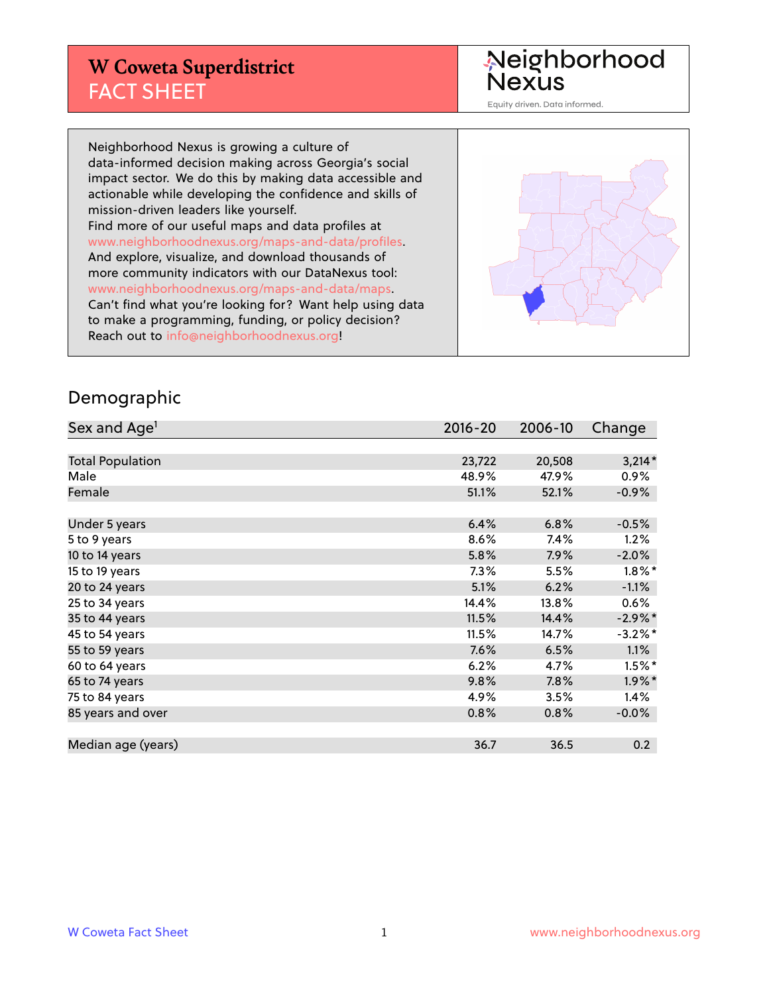## **W Coweta Superdistrict** FACT SHEET

Neighborhood<br>Nexus

Equity driven. Data informed.

Neighborhood Nexus is growing a culture of data-informed decision making across Georgia's social impact sector. We do this by making data accessible and actionable while developing the confidence and skills of mission-driven leaders like yourself. Find more of our useful maps and data profiles at www.neighborhoodnexus.org/maps-and-data/profiles. And explore, visualize, and download thousands of more community indicators with our DataNexus tool: www.neighborhoodnexus.org/maps-and-data/maps. Can't find what you're looking for? Want help using data to make a programming, funding, or policy decision? Reach out to [info@neighborhoodnexus.org!](mailto:info@neighborhoodnexus.org)



#### Demographic

| Sex and Age <sup>1</sup> | $2016 - 20$ | 2006-10 | Change     |
|--------------------------|-------------|---------|------------|
|                          |             |         |            |
| <b>Total Population</b>  | 23,722      | 20,508  | $3,214*$   |
| Male                     | 48.9%       | 47.9%   | $0.9\%$    |
| Female                   | 51.1%       | 52.1%   | $-0.9\%$   |
|                          |             |         |            |
| Under 5 years            | 6.4%        | 6.8%    | $-0.5%$    |
| 5 to 9 years             | 8.6%        | 7.4%    | 1.2%       |
| 10 to 14 years           | 5.8%        | 7.9%    | $-2.0%$    |
| 15 to 19 years           | 7.3%        | 5.5%    | $1.8\%$ *  |
| 20 to 24 years           | 5.1%        | 6.2%    | $-1.1%$    |
| 25 to 34 years           | 14.4%       | 13.8%   | 0.6%       |
| 35 to 44 years           | 11.5%       | 14.4%   | $-2.9\%$ * |
| 45 to 54 years           | 11.5%       | 14.7%   | $-3.2\%$ * |
| 55 to 59 years           | 7.6%        | 6.5%    | 1.1%       |
| 60 to 64 years           | 6.2%        | 4.7%    | $1.5\%$ *  |
| 65 to 74 years           | 9.8%        | 7.8%    | $1.9\%$ *  |
| 75 to 84 years           | 4.9%        | 3.5%    | 1.4%       |
| 85 years and over        | 0.8%        | 0.8%    | $-0.0\%$   |
|                          |             |         |            |
| Median age (years)       | 36.7        | 36.5    | 0.2        |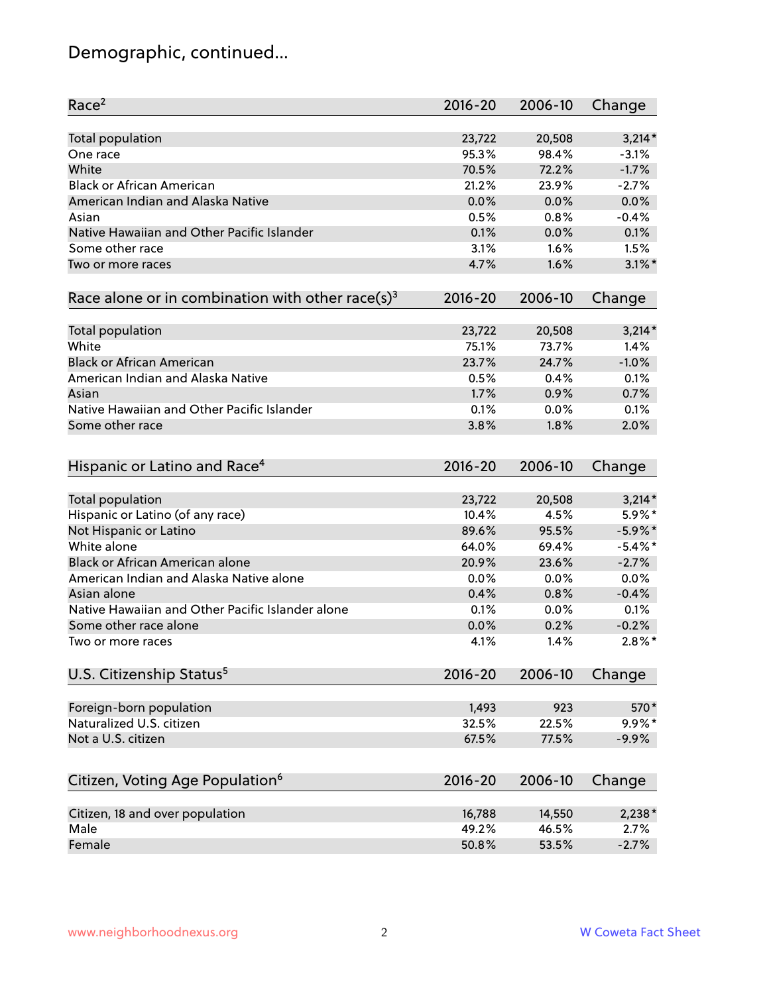# Demographic, continued...

| Race <sup>2</sup>                                            | $2016 - 20$ | 2006-10 | Change     |
|--------------------------------------------------------------|-------------|---------|------------|
| <b>Total population</b>                                      | 23,722      | 20,508  | $3,214*$   |
| One race                                                     | 95.3%       | 98.4%   | $-3.1%$    |
| White                                                        | 70.5%       | 72.2%   | $-1.7%$    |
| <b>Black or African American</b>                             | 21.2%       | 23.9%   | $-2.7%$    |
| American Indian and Alaska Native                            | 0.0%        | 0.0%    | 0.0%       |
| Asian                                                        | 0.5%        | 0.8%    | $-0.4%$    |
| Native Hawaiian and Other Pacific Islander                   | 0.1%        | 0.0%    | 0.1%       |
| Some other race                                              | 3.1%        | 1.6%    | 1.5%       |
| Two or more races                                            | 4.7%        | 1.6%    | $3.1\%$ *  |
| Race alone or in combination with other race(s) <sup>3</sup> | $2016 - 20$ | 2006-10 | Change     |
|                                                              |             |         |            |
| Total population                                             | 23,722      | 20,508  | $3,214*$   |
| White                                                        | 75.1%       | 73.7%   | 1.4%       |
| <b>Black or African American</b>                             | 23.7%       | 24.7%   | $-1.0%$    |
| American Indian and Alaska Native                            | 0.5%        | 0.4%    | 0.1%       |
| Asian                                                        | 1.7%        | 0.9%    | 0.7%       |
| Native Hawaiian and Other Pacific Islander                   | 0.1%        | 0.0%    | 0.1%       |
| Some other race                                              | 3.8%        | 1.8%    | 2.0%       |
|                                                              |             |         |            |
| Hispanic or Latino and Race <sup>4</sup>                     | $2016 - 20$ | 2006-10 | Change     |
| <b>Total population</b>                                      | 23,722      | 20,508  | $3,214*$   |
| Hispanic or Latino (of any race)                             | 10.4%       | 4.5%    | 5.9%*      |
| Not Hispanic or Latino                                       | 89.6%       | 95.5%   | $-5.9\%$ * |
| White alone                                                  | 64.0%       | 69.4%   | $-5.4\%$ * |
| Black or African American alone                              | 20.9%       | 23.6%   | $-2.7%$    |
| American Indian and Alaska Native alone                      | 0.0%        | 0.0%    | 0.0%       |
| Asian alone                                                  | 0.4%        | 0.8%    | $-0.4%$    |
| Native Hawaiian and Other Pacific Islander alone             | 0.1%        | 0.0%    | 0.1%       |
| Some other race alone                                        | 0.0%        | 0.2%    | $-0.2%$    |
| Two or more races                                            | 4.1%        | 1.4%    | $2.8\%$ *  |
| U.S. Citizenship Status <sup>5</sup>                         | $2016 - 20$ | 2006-10 | Change     |
|                                                              |             |         |            |
| Foreign-born population                                      | 1,493       | 923     | 570*       |
| Naturalized U.S. citizen                                     | 32.5%       | 22.5%   | $9.9\%$ *  |
| Not a U.S. citizen                                           | 67.5%       | 77.5%   | $-9.9%$    |
|                                                              |             |         |            |
| Citizen, Voting Age Population <sup>6</sup>                  | $2016 - 20$ | 2006-10 | Change     |
| Citizen, 18 and over population                              | 16,788      | 14,550  | $2,238*$   |
| Male                                                         | 49.2%       | 46.5%   | 2.7%       |
| Female                                                       | 50.8%       | 53.5%   | $-2.7%$    |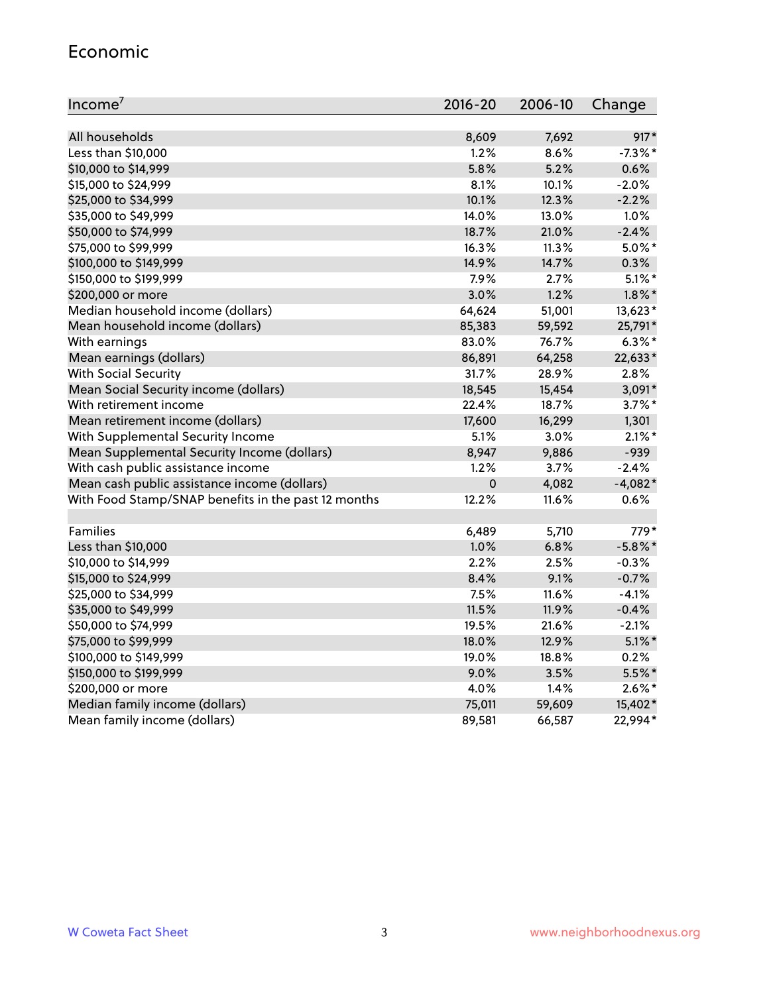#### Economic

| Income <sup>7</sup>                                 | 2016-20     | 2006-10 | Change     |
|-----------------------------------------------------|-------------|---------|------------|
|                                                     |             |         |            |
| All households                                      | 8,609       | 7,692   | 917*       |
| Less than \$10,000                                  | 1.2%        | 8.6%    | $-7.3\%$ * |
| \$10,000 to \$14,999                                | 5.8%        | 5.2%    | 0.6%       |
| \$15,000 to \$24,999                                | 8.1%        | 10.1%   | $-2.0%$    |
| \$25,000 to \$34,999                                | 10.1%       | 12.3%   | $-2.2%$    |
| \$35,000 to \$49,999                                | 14.0%       | 13.0%   | 1.0%       |
| \$50,000 to \$74,999                                | 18.7%       | 21.0%   | $-2.4%$    |
| \$75,000 to \$99,999                                | 16.3%       | 11.3%   | $5.0\%$ *  |
| \$100,000 to \$149,999                              | 14.9%       | 14.7%   | 0.3%       |
| \$150,000 to \$199,999                              | 7.9%        | 2.7%    | $5.1\%$ *  |
| \$200,000 or more                                   | 3.0%        | 1.2%    | $1.8\%$ *  |
| Median household income (dollars)                   | 64,624      | 51,001  | 13,623*    |
| Mean household income (dollars)                     | 85,383      | 59,592  | 25,791*    |
| With earnings                                       | 83.0%       | 76.7%   | $6.3\%$ *  |
| Mean earnings (dollars)                             | 86,891      | 64,258  | 22,633*    |
| <b>With Social Security</b>                         | 31.7%       | 28.9%   | 2.8%       |
| Mean Social Security income (dollars)               | 18,545      | 15,454  | $3,091*$   |
| With retirement income                              | 22.4%       | 18.7%   | $3.7\%$ *  |
| Mean retirement income (dollars)                    | 17,600      | 16,299  | 1,301      |
| With Supplemental Security Income                   | 5.1%        | 3.0%    | $2.1\%$ *  |
| Mean Supplemental Security Income (dollars)         | 8,947       | 9,886   | $-939$     |
| With cash public assistance income                  | 1.2%        | 3.7%    | $-2.4%$    |
| Mean cash public assistance income (dollars)        | $\mathbf 0$ | 4,082   | $-4,082*$  |
| With Food Stamp/SNAP benefits in the past 12 months | 12.2%       | 11.6%   | 0.6%       |
|                                                     |             |         |            |
| Families                                            | 6,489       | 5,710   | 779*       |
| Less than \$10,000                                  | 1.0%        | 6.8%    | $-5.8\%$ * |
| \$10,000 to \$14,999                                | 2.2%        | 2.5%    | $-0.3%$    |
| \$15,000 to \$24,999                                | 8.4%        | 9.1%    | $-0.7%$    |
| \$25,000 to \$34,999                                | 7.5%        | 11.6%   | $-4.1%$    |
| \$35,000 to \$49,999                                | 11.5%       | 11.9%   | $-0.4%$    |
| \$50,000 to \$74,999                                | 19.5%       | 21.6%   | $-2.1%$    |
| \$75,000 to \$99,999                                | 18.0%       | 12.9%   | $5.1\%$ *  |
| \$100,000 to \$149,999                              | 19.0%       | 18.8%   | 0.2%       |
| \$150,000 to \$199,999                              | 9.0%        | 3.5%    | 5.5%*      |
| \$200,000 or more                                   | 4.0%        | 1.4%    | $2.6\%$ *  |
| Median family income (dollars)                      | 75,011      | 59,609  | 15,402*    |
| Mean family income (dollars)                        | 89,581      | 66,587  | 22,994*    |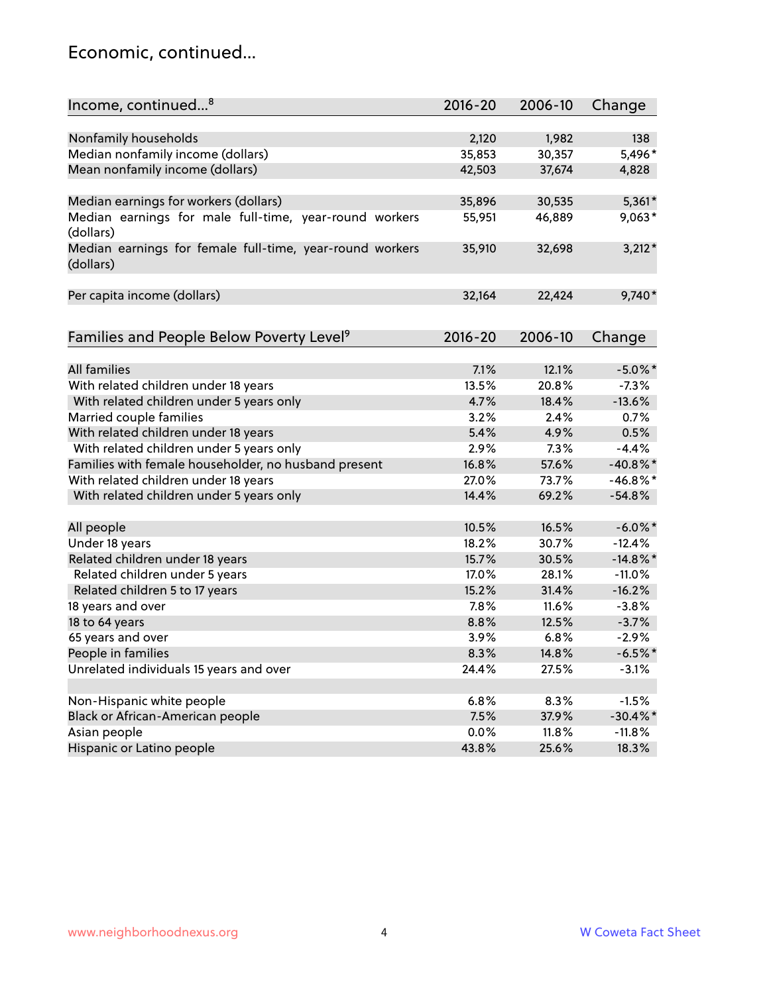### Economic, continued...

| Income, continued <sup>8</sup>                                        | $2016 - 20$ | 2006-10 | Change      |
|-----------------------------------------------------------------------|-------------|---------|-------------|
|                                                                       |             |         |             |
| Nonfamily households                                                  | 2,120       | 1,982   | 138         |
| Median nonfamily income (dollars)                                     | 35,853      | 30,357  | 5,496*      |
| Mean nonfamily income (dollars)                                       | 42,503      | 37,674  | 4,828       |
| Median earnings for workers (dollars)                                 | 35,896      | 30,535  | $5,361*$    |
| Median earnings for male full-time, year-round workers                | 55,951      | 46,889  | 9,063*      |
| (dollars)                                                             |             |         |             |
| Median earnings for female full-time, year-round workers<br>(dollars) | 35,910      | 32,698  | $3,212*$    |
| Per capita income (dollars)                                           | 32,164      | 22,424  | 9,740*      |
|                                                                       |             |         |             |
| Families and People Below Poverty Level <sup>9</sup>                  | 2016-20     | 2006-10 | Change      |
|                                                                       |             |         |             |
| <b>All families</b>                                                   | 7.1%        | 12.1%   | $-5.0\%$ *  |
| With related children under 18 years                                  | 13.5%       | 20.8%   | $-7.3%$     |
| With related children under 5 years only                              | 4.7%        | 18.4%   | $-13.6%$    |
| Married couple families                                               | 3.2%        | 2.4%    | 0.7%        |
| With related children under 18 years                                  | 5.4%        | 4.9%    | 0.5%        |
| With related children under 5 years only                              | 2.9%        | 7.3%    | $-4.4%$     |
| Families with female householder, no husband present                  | 16.8%       | 57.6%   | $-40.8\%$ * |
| With related children under 18 years                                  | 27.0%       | 73.7%   | $-46.8\%$ * |
| With related children under 5 years only                              | 14.4%       | 69.2%   | $-54.8%$    |
| All people                                                            | 10.5%       | 16.5%   | $-6.0\%$ *  |
| Under 18 years                                                        | 18.2%       | 30.7%   | $-12.4%$    |
| Related children under 18 years                                       | 15.7%       | 30.5%   | $-14.8\%$ * |
| Related children under 5 years                                        | 17.0%       | 28.1%   | $-11.0%$    |
| Related children 5 to 17 years                                        | 15.2%       | 31.4%   | $-16.2%$    |
| 18 years and over                                                     | 7.8%        | 11.6%   | $-3.8%$     |
| 18 to 64 years                                                        | 8.8%        | 12.5%   | $-3.7%$     |
| 65 years and over                                                     | 3.9%        | 6.8%    | $-2.9%$     |
| People in families                                                    | 8.3%        | 14.8%   | $-6.5%$ *   |
| Unrelated individuals 15 years and over                               | 24.4%       | 27.5%   | $-3.1%$     |
|                                                                       |             |         |             |
| Non-Hispanic white people                                             | 6.8%        | 8.3%    | $-1.5%$     |
| Black or African-American people                                      | 7.5%        | 37.9%   | $-30.4\%$ * |
| Asian people                                                          | $0.0\%$     | 11.8%   | $-11.8%$    |
| Hispanic or Latino people                                             | 43.8%       | 25.6%   | 18.3%       |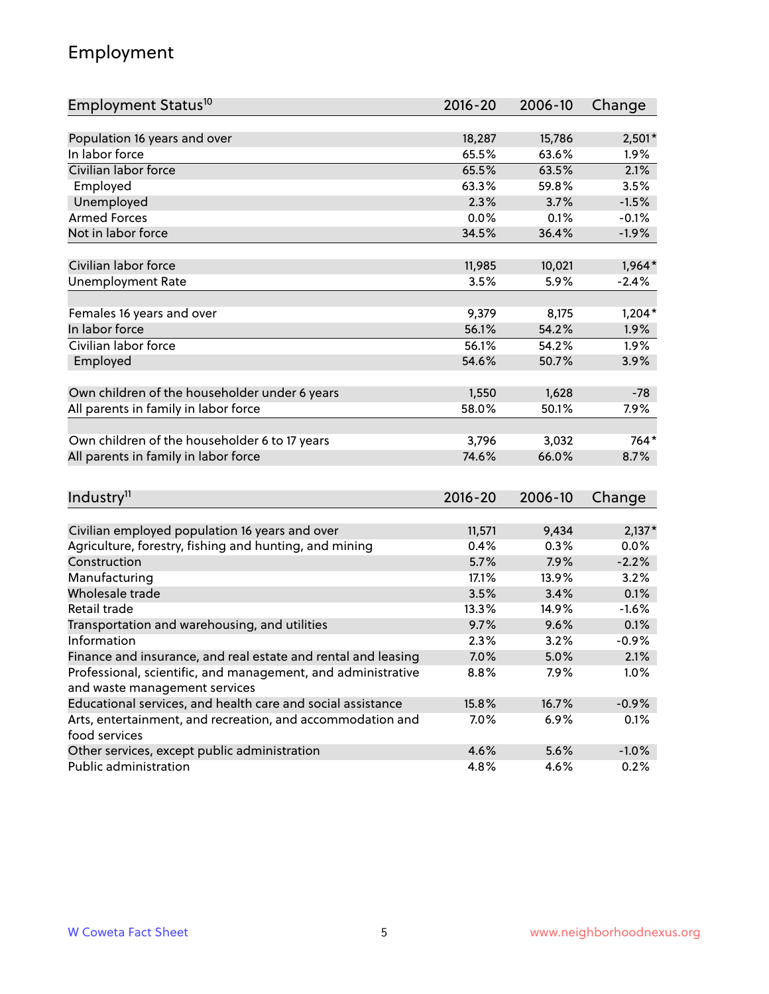# Employment

| Employment Status <sup>10</sup>                                             | $2016 - 20$ | 2006-10 | Change   |
|-----------------------------------------------------------------------------|-------------|---------|----------|
|                                                                             |             |         |          |
| Population 16 years and over<br>In labor force                              | 18,287      | 15,786  | $2,501*$ |
| Civilian labor force                                                        | 65.5%       | 63.6%   | 1.9%     |
|                                                                             | 65.5%       | 63.5%   | 2.1%     |
| Employed                                                                    | 63.3%       | 59.8%   | 3.5%     |
| Unemployed                                                                  | 2.3%        | 3.7%    | $-1.5%$  |
| <b>Armed Forces</b>                                                         | 0.0%        | 0.1%    | $-0.1%$  |
| Not in labor force                                                          | 34.5%       | 36.4%   | $-1.9%$  |
| Civilian labor force                                                        | 11,985      | 10,021  | $1,964*$ |
| <b>Unemployment Rate</b>                                                    | 3.5%        | 5.9%    | $-2.4%$  |
|                                                                             |             |         |          |
| Females 16 years and over                                                   | 9,379       | 8,175   | $1,204*$ |
| In labor force                                                              | 56.1%       | 54.2%   | 1.9%     |
| Civilian labor force                                                        | 56.1%       | 54.2%   | 1.9%     |
| Employed                                                                    | 54.6%       | 50.7%   | 3.9%     |
|                                                                             |             |         |          |
| Own children of the householder under 6 years                               | 1,550       | 1,628   | $-78$    |
| All parents in family in labor force                                        | 58.0%       | 50.1%   | 7.9%     |
|                                                                             |             |         |          |
| Own children of the householder 6 to 17 years                               | 3,796       | 3,032   | 764*     |
| All parents in family in labor force                                        | 74.6%       | 66.0%   | 8.7%     |
|                                                                             |             |         |          |
| Industry <sup>11</sup>                                                      | $2016 - 20$ | 2006-10 | Change   |
|                                                                             |             |         |          |
| Civilian employed population 16 years and over                              | 11,571      | 9,434   | $2,137*$ |
| Agriculture, forestry, fishing and hunting, and mining                      | 0.4%        | 0.3%    | 0.0%     |
| Construction                                                                | 5.7%        | 7.9%    | $-2.2%$  |
| Manufacturing                                                               | 17.1%       | 13.9%   | 3.2%     |
| Wholesale trade                                                             | 3.5%        | 3.4%    | 0.1%     |
| Retail trade                                                                | 13.3%       | 14.9%   | $-1.6%$  |
| Transportation and warehousing, and utilities                               | 9.7%        | 9.6%    | 0.1%     |
| Information                                                                 | 2.3%        | 3.2%    | $-0.9%$  |
| Finance and insurance, and real estate and rental and leasing               | 7.0%        | 5.0%    | 2.1%     |
| Professional, scientific, and management, and administrative                | 8.8%        | 7.9%    | 1.0%     |
| and waste management services                                               |             |         |          |
| Educational services, and health care and social assistance                 | 15.8%       | 16.7%   | $-0.9%$  |
| Arts, entertainment, and recreation, and accommodation and<br>food services | 7.0%        | 6.9%    | 0.1%     |
| Other services, except public administration                                | 4.6%        | 5.6%    | $-1.0%$  |
| Public administration                                                       | 4.8%        | 4.6%    | 0.2%     |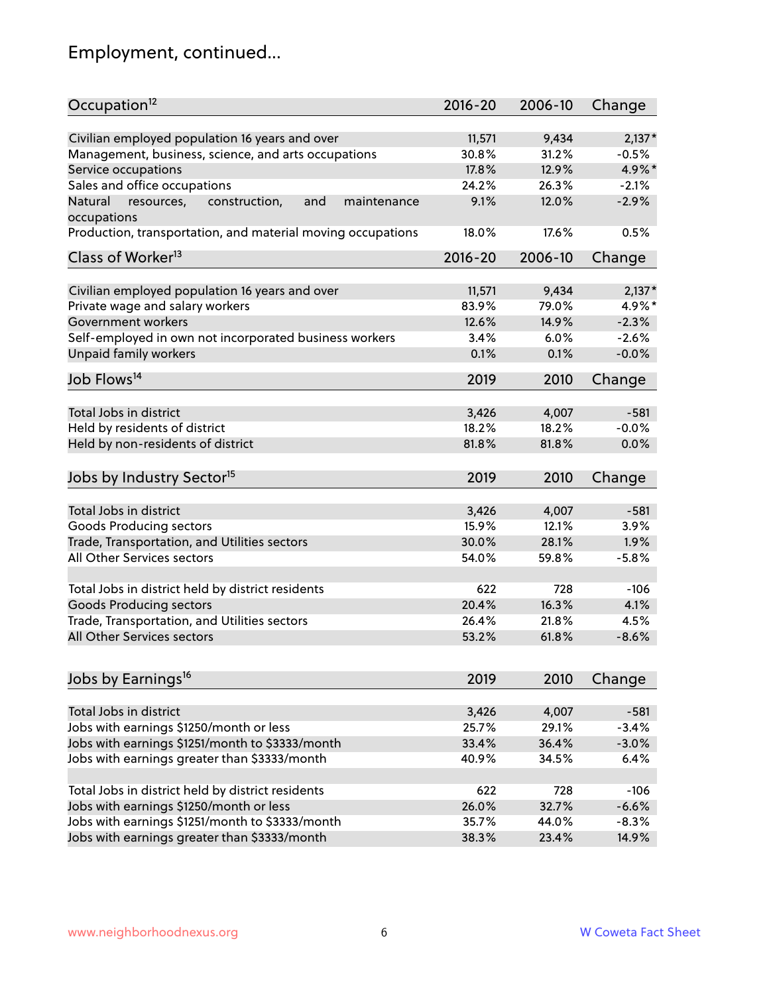# Employment, continued...

| Occupation <sup>12</sup>                                     | $2016 - 20$ | 2006-10 | Change   |
|--------------------------------------------------------------|-------------|---------|----------|
| Civilian employed population 16 years and over               | 11,571      | 9,434   | $2,137*$ |
| Management, business, science, and arts occupations          | 30.8%       | 31.2%   | $-0.5%$  |
| Service occupations                                          | 17.8%       | 12.9%   | 4.9%*    |
| Sales and office occupations                                 | 24.2%       | 26.3%   | $-2.1%$  |
| Natural<br>and<br>resources,<br>construction,<br>maintenance | 9.1%        | 12.0%   | $-2.9%$  |
| occupations                                                  |             |         |          |
| Production, transportation, and material moving occupations  | 18.0%       | 17.6%   | 0.5%     |
| Class of Worker <sup>13</sup>                                | $2016 - 20$ | 2006-10 | Change   |
| Civilian employed population 16 years and over               | 11,571      | 9,434   | $2,137*$ |
| Private wage and salary workers                              | 83.9%       | 79.0%   | 4.9%*    |
| Government workers                                           | 12.6%       | 14.9%   | $-2.3%$  |
| Self-employed in own not incorporated business workers       | 3.4%        | 6.0%    | $-2.6%$  |
| Unpaid family workers                                        | 0.1%        | 0.1%    | $-0.0%$  |
|                                                              |             |         |          |
| Job Flows <sup>14</sup>                                      | 2019        | 2010    | Change   |
| Total Jobs in district                                       | 3,426       | 4,007   | $-581$   |
| Held by residents of district                                | 18.2%       | 18.2%   | $-0.0%$  |
| Held by non-residents of district                            | 81.8%       | 81.8%   | 0.0%     |
|                                                              |             |         |          |
| Jobs by Industry Sector <sup>15</sup>                        | 2019        | 2010    | Change   |
| Total Jobs in district                                       | 3,426       | 4,007   | $-581$   |
| Goods Producing sectors                                      | 15.9%       | 12.1%   | 3.9%     |
| Trade, Transportation, and Utilities sectors                 | 30.0%       | 28.1%   | 1.9%     |
| All Other Services sectors                                   | 54.0%       | 59.8%   | $-5.8%$  |
|                                                              |             |         |          |
| Total Jobs in district held by district residents            | 622         | 728     | $-106$   |
| <b>Goods Producing sectors</b>                               | 20.4%       | 16.3%   | 4.1%     |
| Trade, Transportation, and Utilities sectors                 | 26.4%       | 21.8%   | 4.5%     |
| All Other Services sectors                                   | 53.2%       | 61.8%   | $-8.6%$  |
|                                                              |             |         |          |
| Jobs by Earnings <sup>16</sup>                               | 2019        | 2010    | Change   |
| Total Jobs in district                                       | 3,426       | 4,007   | $-581$   |
| Jobs with earnings \$1250/month or less                      | 25.7%       | 29.1%   | $-3.4%$  |
| Jobs with earnings \$1251/month to \$3333/month              | 33.4%       | 36.4%   | $-3.0%$  |
| Jobs with earnings greater than \$3333/month                 | 40.9%       | 34.5%   | 6.4%     |
|                                                              |             |         |          |
| Total Jobs in district held by district residents            | 622         | 728     | $-106$   |
| Jobs with earnings \$1250/month or less                      | 26.0%       | 32.7%   | $-6.6%$  |
| Jobs with earnings \$1251/month to \$3333/month              | 35.7%       | 44.0%   | $-8.3%$  |
| Jobs with earnings greater than \$3333/month                 | 38.3%       | 23.4%   | 14.9%    |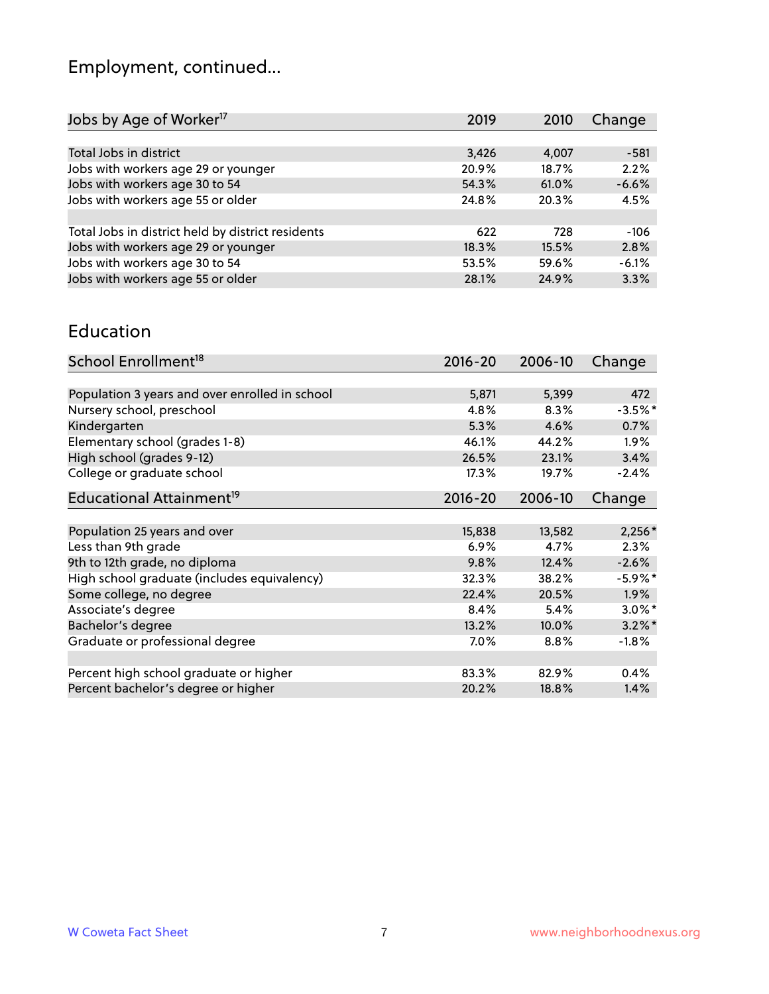# Employment, continued...

| Jobs by Age of Worker <sup>17</sup>               | 2019  | 2010  | Change  |
|---------------------------------------------------|-------|-------|---------|
|                                                   |       |       |         |
| Total Jobs in district                            | 3,426 | 4,007 | $-581$  |
| Jobs with workers age 29 or younger               | 20.9% | 18.7% | 2.2%    |
| Jobs with workers age 30 to 54                    | 54.3% | 61.0% | $-6.6%$ |
| Jobs with workers age 55 or older                 | 24.8% | 20.3% | 4.5%    |
|                                                   |       |       |         |
| Total Jobs in district held by district residents | 622   | 728   | $-106$  |
| Jobs with workers age 29 or younger               | 18.3% | 15.5% | 2.8%    |
| Jobs with workers age 30 to 54                    | 53.5% | 59.6% | $-6.1%$ |
| Jobs with workers age 55 or older                 | 28.1% | 24.9% | 3.3%    |

#### Education

| School Enrollment <sup>18</sup>                | $2016 - 20$ | 2006-10 | Change     |
|------------------------------------------------|-------------|---------|------------|
|                                                |             |         |            |
| Population 3 years and over enrolled in school | 5,871       | 5,399   | 472        |
| Nursery school, preschool                      | 4.8%        | 8.3%    | $-3.5%$ *  |
| Kindergarten                                   | 5.3%        | 4.6%    | 0.7%       |
| Elementary school (grades 1-8)                 | 46.1%       | 44.2%   | 1.9%       |
| High school (grades 9-12)                      | 26.5%       | 23.1%   | 3.4%       |
| College or graduate school                     | 17.3%       | 19.7%   | $-2.4%$    |
| Educational Attainment <sup>19</sup>           | $2016 - 20$ | 2006-10 | Change     |
|                                                |             |         |            |
| Population 25 years and over                   | 15,838      | 13,582  | $2,256*$   |
| Less than 9th grade                            | 6.9%        | 4.7%    | 2.3%       |
| 9th to 12th grade, no diploma                  | 9.8%        | 12.4%   | $-2.6%$    |
| High school graduate (includes equivalency)    | 32.3%       | 38.2%   | $-5.9\%$ * |
| Some college, no degree                        | 22.4%       | 20.5%   | 1.9%       |
| Associate's degree                             | 8.4%        | 5.4%    | $3.0\%$ *  |
| Bachelor's degree                              | 13.2%       | 10.0%   | $3.2\%$ *  |
| Graduate or professional degree                | 7.0%        | 8.8%    | $-1.8%$    |
|                                                |             |         |            |
| Percent high school graduate or higher         | 83.3%       | 82.9%   | 0.4%       |
| Percent bachelor's degree or higher            | 20.2%       | 18.8%   | 1.4%       |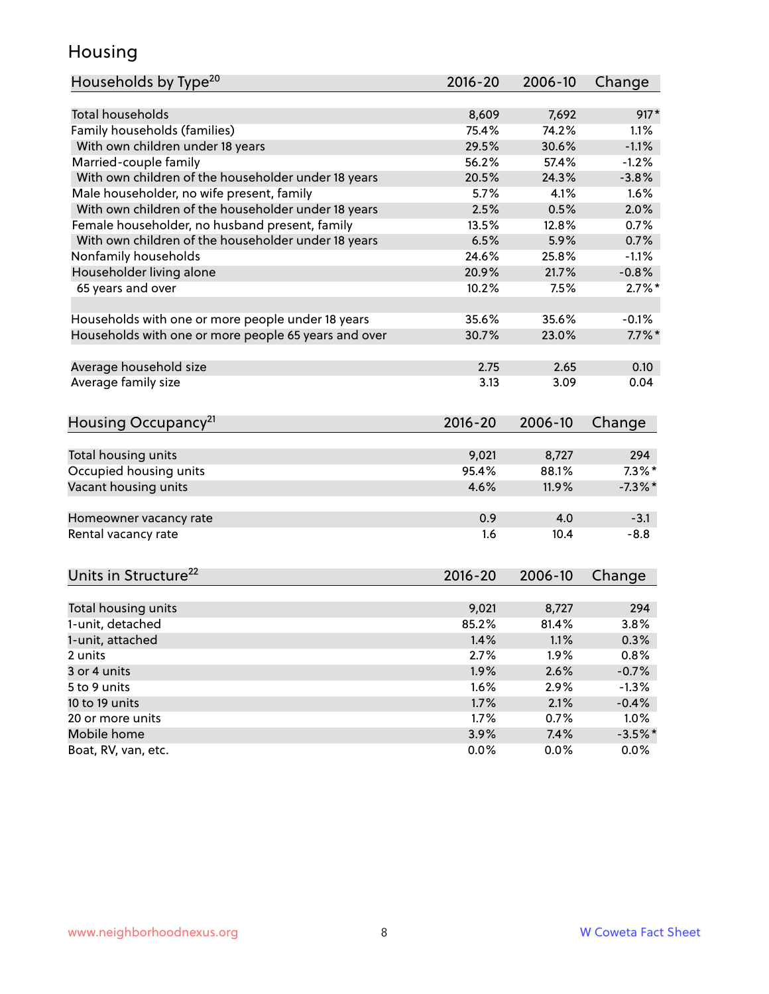### Housing

| Households by Type <sup>20</sup>                     | 2016-20     | 2006-10 | Change               |
|------------------------------------------------------|-------------|---------|----------------------|
|                                                      |             |         |                      |
| <b>Total households</b>                              | 8,609       | 7,692   | $917*$               |
| Family households (families)                         | 75.4%       | 74.2%   | 1.1%                 |
| With own children under 18 years                     | 29.5%       | 30.6%   | $-1.1%$              |
| Married-couple family                                | 56.2%       | 57.4%   | $-1.2%$              |
| With own children of the householder under 18 years  | 20.5%       | 24.3%   | $-3.8%$              |
| Male householder, no wife present, family            | 5.7%        | 4.1%    | 1.6%                 |
| With own children of the householder under 18 years  | 2.5%        | 0.5%    | 2.0%                 |
| Female householder, no husband present, family       | 13.5%       | 12.8%   | 0.7%                 |
| With own children of the householder under 18 years  | 6.5%        | 5.9%    | 0.7%                 |
| Nonfamily households                                 | 24.6%       | 25.8%   | $-1.1%$              |
| Householder living alone                             | 20.9%       | 21.7%   | $-0.8%$              |
| 65 years and over                                    | 10.2%       | 7.5%    | $2.7\%$ <sup>*</sup> |
|                                                      |             |         |                      |
| Households with one or more people under 18 years    | 35.6%       | 35.6%   | $-0.1%$              |
| Households with one or more people 65 years and over | 30.7%       | 23.0%   | $7.7\%$ *            |
|                                                      |             |         |                      |
| Average household size                               | 2.75        | 2.65    | 0.10                 |
| Average family size                                  | 3.13        | 3.09    | 0.04                 |
|                                                      |             |         |                      |
| Housing Occupancy <sup>21</sup>                      | $2016 - 20$ | 2006-10 | Change               |
|                                                      |             |         |                      |
| Total housing units                                  | 9,021       | 8,727   | 294                  |
| Occupied housing units                               | 95.4%       | 88.1%   | $7.3\%$ *            |
| Vacant housing units                                 | 4.6%        | 11.9%   | $-7.3\%$ *           |
|                                                      |             |         |                      |
| Homeowner vacancy rate                               | 0.9         | 4.0     | $-3.1$               |
| Rental vacancy rate                                  | 1.6         | 10.4    | $-8.8$               |
|                                                      |             |         |                      |
| Units in Structure <sup>22</sup>                     | 2016-20     | 2006-10 | Change               |
|                                                      |             |         |                      |
| Total housing units                                  | 9,021       | 8,727   | 294                  |
| 1-unit, detached                                     | 85.2%       | 81.4%   | 3.8%                 |
| 1-unit, attached                                     | 1.4%        | 1.1%    | 0.3%                 |
| 2 units                                              | 2.7%        | 1.9%    | 0.8%                 |
| 3 or 4 units                                         | 1.9%        | 2.6%    | $-0.7%$              |
| 5 to 9 units                                         | 1.6%        | 2.9%    | $-1.3%$              |
| 10 to 19 units                                       | 1.7%        | 2.1%    | $-0.4%$              |
| 20 or more units                                     | 1.7%        | 0.7%    | 1.0%                 |
| Mobile home                                          | 3.9%        | 7.4%    | $-3.5%$ *            |
| Boat, RV, van, etc.                                  | 0.0%        | 0.0%    | 0.0%                 |
|                                                      |             |         |                      |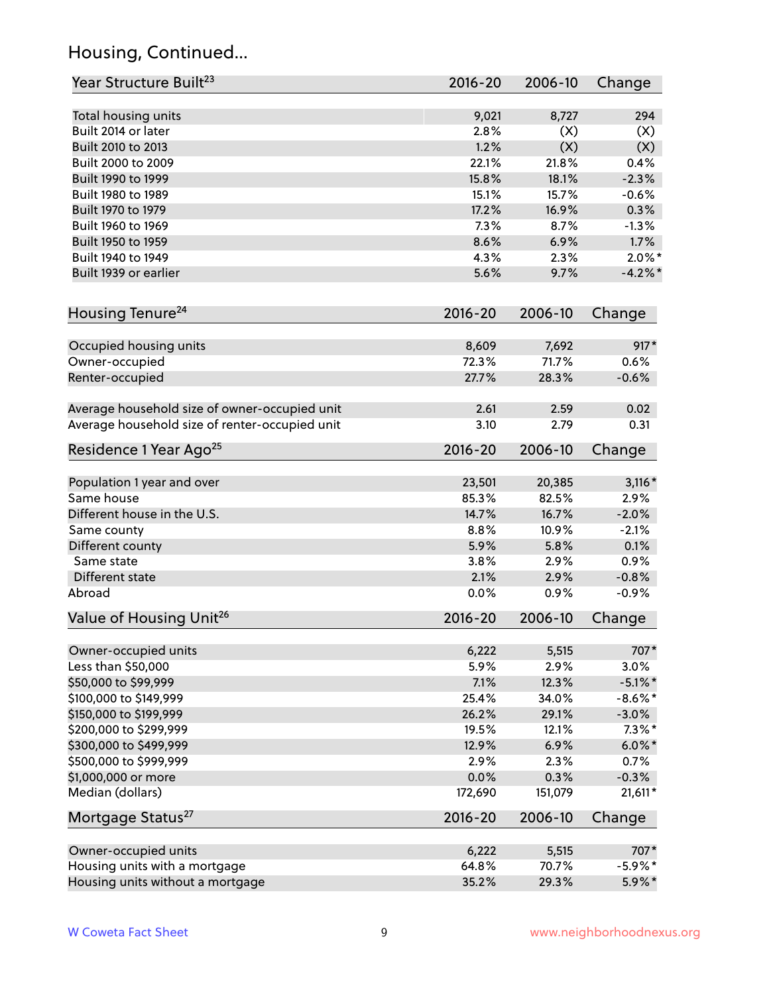# Housing, Continued...

| Year Structure Built <sup>23</sup>             | 2016-20     | 2006-10 | Change     |
|------------------------------------------------|-------------|---------|------------|
| Total housing units                            | 9,021       | 8,727   | 294        |
| Built 2014 or later                            | 2.8%        | (X)     | (X)        |
| Built 2010 to 2013                             | 1.2%        | (X)     | (X)        |
| Built 2000 to 2009                             | 22.1%       | 21.8%   | 0.4%       |
| Built 1990 to 1999                             | 15.8%       | 18.1%   | $-2.3%$    |
| Built 1980 to 1989                             | 15.1%       | 15.7%   | $-0.6%$    |
| Built 1970 to 1979                             | 17.2%       | 16.9%   | 0.3%       |
| Built 1960 to 1969                             | 7.3%        | 8.7%    | $-1.3%$    |
| Built 1950 to 1959                             | 8.6%        | 6.9%    | 1.7%       |
| Built 1940 to 1949                             | 4.3%        | 2.3%    | $2.0\%$ *  |
| Built 1939 or earlier                          | 5.6%        | 9.7%    | $-4.2\%$ * |
|                                                |             |         |            |
| Housing Tenure <sup>24</sup>                   | $2016 - 20$ | 2006-10 | Change     |
| Occupied housing units                         | 8,609       | 7,692   | 917*       |
| Owner-occupied                                 | 72.3%       | 71.7%   | 0.6%       |
| Renter-occupied                                | 27.7%       | 28.3%   | $-0.6%$    |
|                                                |             |         |            |
| Average household size of owner-occupied unit  | 2.61        | 2.59    | 0.02       |
| Average household size of renter-occupied unit | 3.10        | 2.79    | 0.31       |
| Residence 1 Year Ago <sup>25</sup>             | $2016 - 20$ | 2006-10 | Change     |
|                                                |             |         |            |
| Population 1 year and over                     | 23,501      | 20,385  | $3,116*$   |
| Same house                                     | 85.3%       | 82.5%   | 2.9%       |
| Different house in the U.S.                    | 14.7%       | 16.7%   | $-2.0%$    |
| Same county                                    | 8.8%        | 10.9%   | $-2.1%$    |
| Different county                               | 5.9%        | 5.8%    | 0.1%       |
| Same state                                     | 3.8%        | 2.9%    | 0.9%       |
| Different state                                | 2.1%        | 2.9%    | $-0.8%$    |
| Abroad                                         | 0.0%        | 0.9%    | $-0.9%$    |
| Value of Housing Unit <sup>26</sup>            | $2016 - 20$ | 2006-10 | Change     |
|                                                |             |         |            |
| Owner-occupied units                           | 6,222       | 5,515   | 707*       |
| Less than \$50,000                             | 5.9%        | 2.9%    | 3.0%       |
| \$50,000 to \$99,999                           | 7.1%        | 12.3%   | $-5.1\%$ * |
| \$100,000 to \$149,999                         | 25.4%       | 34.0%   | $-8.6\%$ * |
| \$150,000 to \$199,999                         | 26.2%       | 29.1%   | $-3.0\%$   |
| \$200,000 to \$299,999                         | 19.5%       | 12.1%   | $7.3\%$ *  |
| \$300,000 to \$499,999                         | 12.9%       | 6.9%    | $6.0\%$ *  |
| \$500,000 to \$999,999                         | 2.9%        | 2.3%    | 0.7%       |
| \$1,000,000 or more                            | 0.0%        | 0.3%    | $-0.3%$    |
| Median (dollars)                               | 172,690     | 151,079 | 21,611*    |
| Mortgage Status <sup>27</sup>                  | $2016 - 20$ | 2006-10 | Change     |
| Owner-occupied units                           | 6,222       | 5,515   | 707*       |
| Housing units with a mortgage                  | 64.8%       | 70.7%   | $-5.9\%$ * |
| Housing units without a mortgage               | 35.2%       | 29.3%   | 5.9%*      |
|                                                |             |         |            |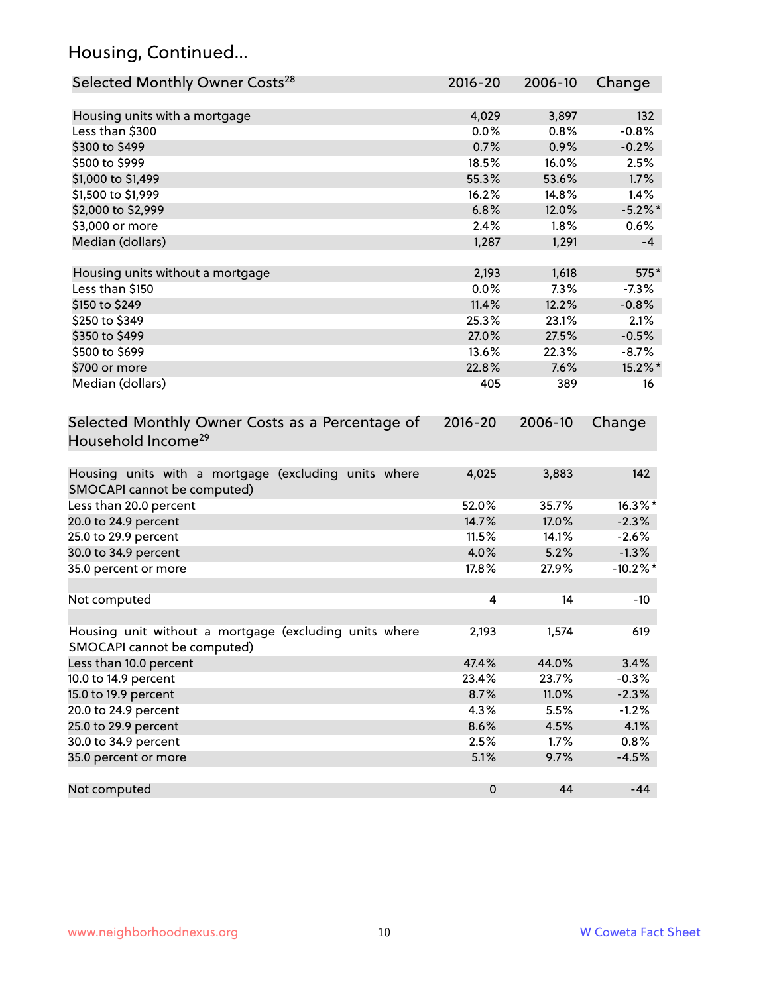# Housing, Continued...

| Selected Monthly Owner Costs <sup>28</sup>                                            | 2016-20   | 2006-10 | Change      |
|---------------------------------------------------------------------------------------|-----------|---------|-------------|
| Housing units with a mortgage                                                         | 4,029     | 3,897   | 132         |
| Less than \$300                                                                       | 0.0%      | 0.8%    | $-0.8%$     |
| \$300 to \$499                                                                        | 0.7%      | 0.9%    | $-0.2%$     |
| \$500 to \$999                                                                        | 18.5%     | 16.0%   | 2.5%        |
| \$1,000 to \$1,499                                                                    | 55.3%     | 53.6%   | 1.7%        |
| \$1,500 to \$1,999                                                                    | 16.2%     | 14.8%   | 1.4%        |
| \$2,000 to \$2,999                                                                    | 6.8%      | 12.0%   | $-5.2\%$ *  |
| \$3,000 or more                                                                       | 2.4%      | 1.8%    | 0.6%        |
| Median (dollars)                                                                      | 1,287     | 1,291   | $-4$        |
| Housing units without a mortgage                                                      | 2,193     | 1,618   | 575*        |
| Less than \$150                                                                       | 0.0%      | 7.3%    | $-7.3%$     |
| \$150 to \$249                                                                        | 11.4%     | 12.2%   | $-0.8%$     |
| \$250 to \$349                                                                        | 25.3%     | 23.1%   | 2.1%        |
| \$350 to \$499                                                                        | 27.0%     | 27.5%   | $-0.5%$     |
| \$500 to \$699                                                                        | 13.6%     | 22.3%   | $-8.7%$     |
| \$700 or more                                                                         | 22.8%     | 7.6%    | 15.2%*      |
| Median (dollars)                                                                      | 405       | 389     | 16          |
| Household Income <sup>29</sup>                                                        |           |         |             |
| Housing units with a mortgage (excluding units where<br>SMOCAPI cannot be computed)   | 4,025     | 3,883   | 142         |
| Less than 20.0 percent                                                                | 52.0%     | 35.7%   | 16.3%*      |
| 20.0 to 24.9 percent                                                                  | 14.7%     | 17.0%   | $-2.3%$     |
| 25.0 to 29.9 percent                                                                  | 11.5%     | 14.1%   | $-2.6%$     |
| 30.0 to 34.9 percent                                                                  | 4.0%      | 5.2%    | $-1.3%$     |
| 35.0 percent or more                                                                  | 17.8%     | 27.9%   | $-10.2\%$ * |
| Not computed                                                                          | 4         | 14      | $-10$       |
| Housing unit without a mortgage (excluding units where<br>SMOCAPI cannot be computed) | 2,193     | 1,574   | 619         |
| Less than 10.0 percent                                                                | 47.4%     | 44.0%   | 3.4%        |
| 10.0 to 14.9 percent                                                                  | 23.4%     | 23.7%   | $-0.3%$     |
| 15.0 to 19.9 percent                                                                  | 8.7%      | 11.0%   | $-2.3%$     |
| 20.0 to 24.9 percent                                                                  | 4.3%      | 5.5%    | $-1.2%$     |
| 25.0 to 29.9 percent                                                                  | 8.6%      | 4.5%    | 4.1%        |
| 30.0 to 34.9 percent                                                                  | 2.5%      | $1.7\%$ | 0.8%        |
| 35.0 percent or more                                                                  | 5.1%      | 9.7%    | $-4.5%$     |
| Not computed                                                                          | $\pmb{0}$ | 44      | $-44$       |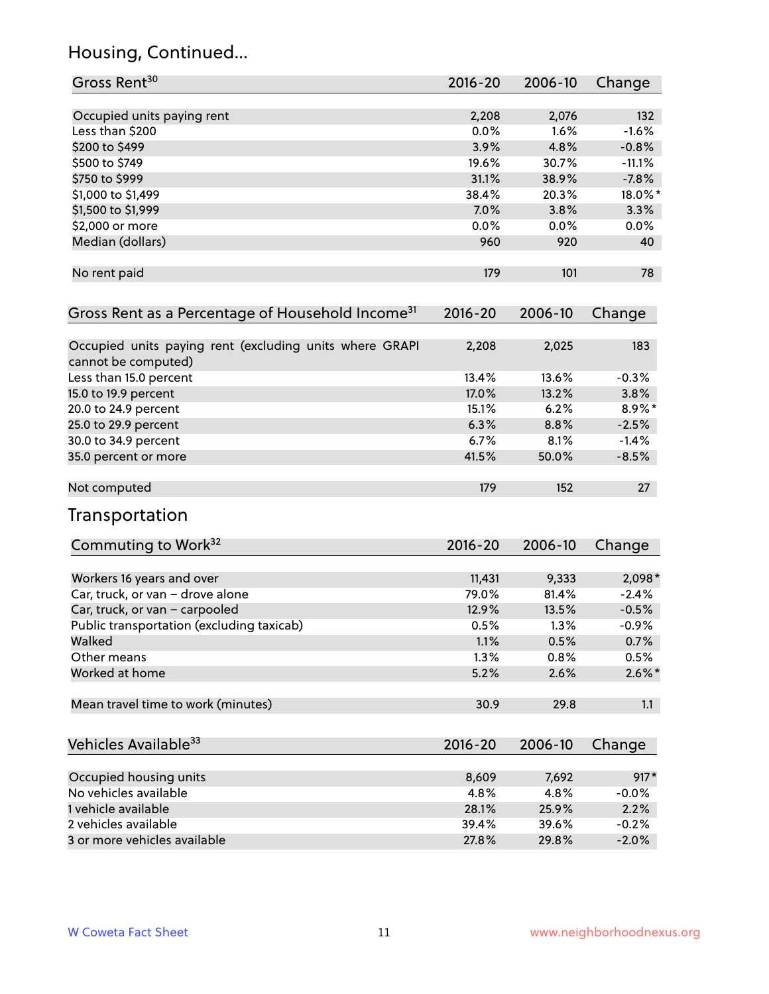# Housing, Continued...

| Gross Rent <sup>30</sup>                                     | 2016-20     | 2006-10 | Change    |
|--------------------------------------------------------------|-------------|---------|-----------|
| Occupied units paying rent                                   | 2,208       | 2,076   | 132       |
| Less than \$200                                              | 0.0%        | 1.6%    | $-1.6%$   |
| \$200 to \$499                                               | 3.9%        | 4.8%    | $-0.8%$   |
| \$500 to \$749                                               | 19.6%       | 30.7%   | $-11.1%$  |
| \$750 to \$999                                               | 31.1%       | 38.9%   | $-7.8%$   |
| \$1,000 to \$1,499                                           | 38.4%       | 20.3%   | 18.0%*    |
| \$1,500 to \$1,999                                           | 7.0%        | 3.8%    | 3.3%      |
| \$2,000 or more                                              | 0.0%        | 0.0%    | 0.0%      |
| Median (dollars)                                             | 960         | 920     | 40        |
| No rent paid                                                 | 179         | 101     | 78        |
| Gross Rent as a Percentage of Household Income <sup>31</sup> | $2016 - 20$ | 2006-10 | Change    |
| Occupied units paying rent (excluding units where GRAPI      | 2,208       | 2,025   | 183       |
| cannot be computed)                                          |             |         |           |
| Less than 15.0 percent                                       | 13.4%       | 13.6%   | $-0.3%$   |
| 15.0 to 19.9 percent                                         | 17.0%       | 13.2%   | 3.8%      |
| 20.0 to 24.9 percent                                         | 15.1%       | 6.2%    | 8.9%*     |
| 25.0 to 29.9 percent                                         | 6.3%        | 8.8%    | $-2.5%$   |
| 30.0 to 34.9 percent                                         | 6.7%        | 8.1%    | $-1.4%$   |
| 35.0 percent or more                                         | 41.5%       | 50.0%   | $-8.5%$   |
| Not computed                                                 | 179         | 152     | 27        |
| Transportation                                               |             |         |           |
| Commuting to Work <sup>32</sup>                              | 2016-20     | 2006-10 | Change    |
| Workers 16 years and over                                    | 11,431      | 9,333   | 2,098*    |
| Car, truck, or van - drove alone                             | 79.0%       | 81.4%   | $-2.4%$   |
| Car, truck, or van - carpooled                               | 12.9%       | 13.5%   | $-0.5%$   |
| Public transportation (excluding taxicab)                    | 0.5%        | 1.3%    | $-0.9%$   |
| Walked                                                       | 1.1%        | 0.5%    | 0.7%      |
| Other means                                                  | 1.3%        | 0.8%    | 0.5%      |
| Worked at home                                               | 5.2%        | 2.6%    | $2.6\%$ * |
| Mean travel time to work (minutes)                           | 30.9        | 29.8    | 1.1       |
| Vehicles Available <sup>33</sup>                             | 2016-20     | 2006-10 | Change    |
| Occupied housing units                                       | 8,609       | 7,692   | $917*$    |
| No vehicles available                                        | 4.8%        | 4.8%    | $-0.0%$   |
| 1 vehicle available                                          | 28.1%       | 25.9%   | 2.2%      |
| 2 vehicles available                                         | 39.4%       | 39.6%   | $-0.2%$   |
| 3 or more vehicles available                                 | 27.8%       | 29.8%   | $-2.0%$   |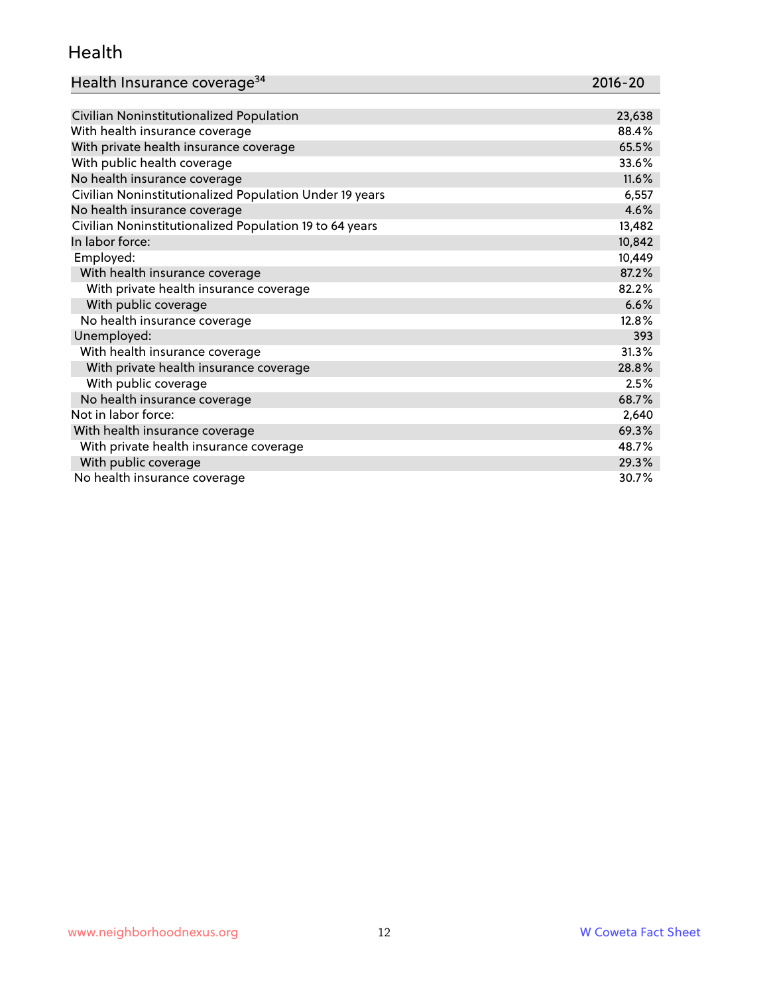#### Health

| Health Insurance coverage <sup>34</sup> | 2016-20 |
|-----------------------------------------|---------|
|-----------------------------------------|---------|

| Civilian Noninstitutionalized Population                | 23,638 |
|---------------------------------------------------------|--------|
| With health insurance coverage                          | 88.4%  |
| With private health insurance coverage                  | 65.5%  |
| With public health coverage                             | 33.6%  |
| No health insurance coverage                            | 11.6%  |
| Civilian Noninstitutionalized Population Under 19 years | 6,557  |
| No health insurance coverage                            | 4.6%   |
| Civilian Noninstitutionalized Population 19 to 64 years | 13,482 |
| In labor force:                                         | 10,842 |
| Employed:                                               | 10,449 |
| With health insurance coverage                          | 87.2%  |
| With private health insurance coverage                  | 82.2%  |
| With public coverage                                    | 6.6%   |
| No health insurance coverage                            | 12.8%  |
| Unemployed:                                             | 393    |
| With health insurance coverage                          | 31.3%  |
| With private health insurance coverage                  | 28.8%  |
| With public coverage                                    | 2.5%   |
| No health insurance coverage                            | 68.7%  |
| Not in labor force:                                     | 2,640  |
| With health insurance coverage                          | 69.3%  |
| With private health insurance coverage                  | 48.7%  |
| With public coverage                                    | 29.3%  |
| No health insurance coverage                            | 30.7%  |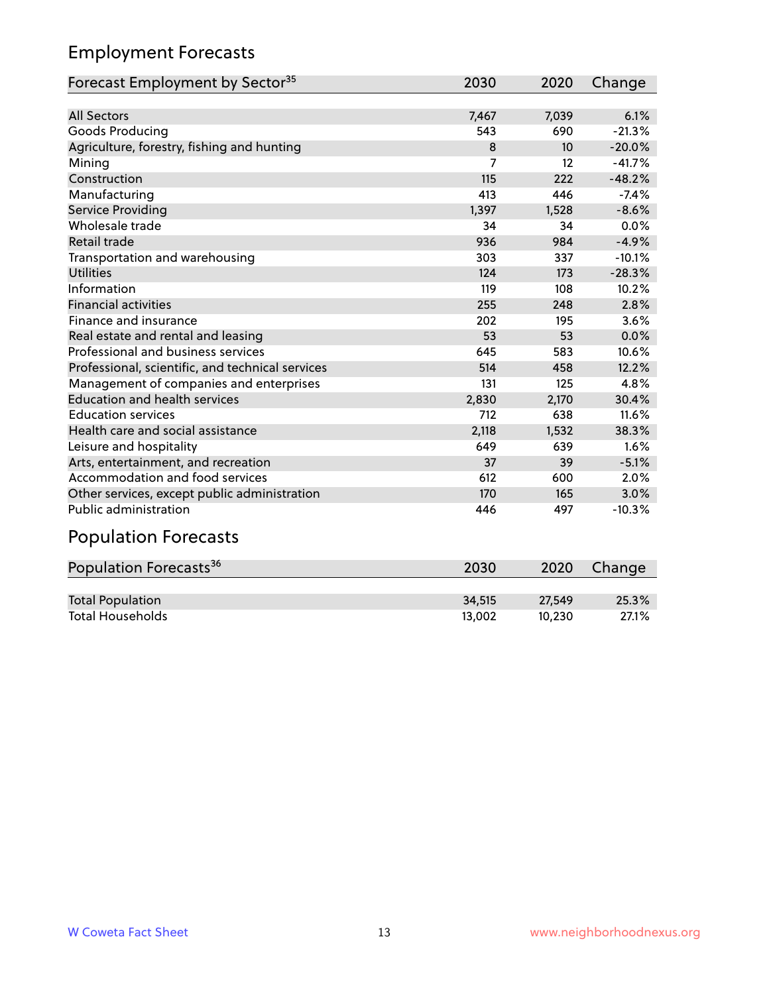# Employment Forecasts

| Forecast Employment by Sector <sup>35</sup>      | 2030  | 2020  | Change   |
|--------------------------------------------------|-------|-------|----------|
|                                                  |       |       |          |
| <b>All Sectors</b>                               | 7,467 | 7,039 | 6.1%     |
| Goods Producing                                  | 543   | 690   | $-21.3%$ |
| Agriculture, forestry, fishing and hunting       | 8     | 10    | $-20.0%$ |
| Mining                                           | 7     | 12    | $-41.7%$ |
| Construction                                     | 115   | 222   | $-48.2%$ |
| Manufacturing                                    | 413   | 446   | $-7.4%$  |
| Service Providing                                | 1,397 | 1,528 | $-8.6%$  |
| Wholesale trade                                  | 34    | 34    | 0.0%     |
| Retail trade                                     | 936   | 984   | $-4.9%$  |
| Transportation and warehousing                   | 303   | 337   | $-10.1%$ |
| <b>Utilities</b>                                 | 124   | 173   | $-28.3%$ |
| Information                                      | 119   | 108   | 10.2%    |
| <b>Financial activities</b>                      | 255   | 248   | 2.8%     |
| Finance and insurance                            | 202   | 195   | 3.6%     |
| Real estate and rental and leasing               | 53    | 53    | 0.0%     |
| Professional and business services               | 645   | 583   | 10.6%    |
| Professional, scientific, and technical services | 514   | 458   | 12.2%    |
| Management of companies and enterprises          | 131   | 125   | 4.8%     |
| <b>Education and health services</b>             | 2,830 | 2,170 | 30.4%    |
| <b>Education services</b>                        | 712   | 638   | 11.6%    |
| Health care and social assistance                | 2,118 | 1,532 | 38.3%    |
| Leisure and hospitality                          | 649   | 639   | 1.6%     |
| Arts, entertainment, and recreation              | 37    | 39    | $-5.1%$  |
| Accommodation and food services                  | 612   | 600   | 2.0%     |
| Other services, except public administration     | 170   | 165   | 3.0%     |
| Public administration                            | 446   | 497   | $-10.3%$ |

# Population Forecasts

| Population Forecasts <sup>36</sup> | 2030   | 2020   | Change |
|------------------------------------|--------|--------|--------|
|                                    |        |        |        |
| <b>Total Population</b>            | 34,515 | 27.549 | 25.3%  |
| <b>Total Households</b>            | 13.002 | 10.230 | 27.1%  |